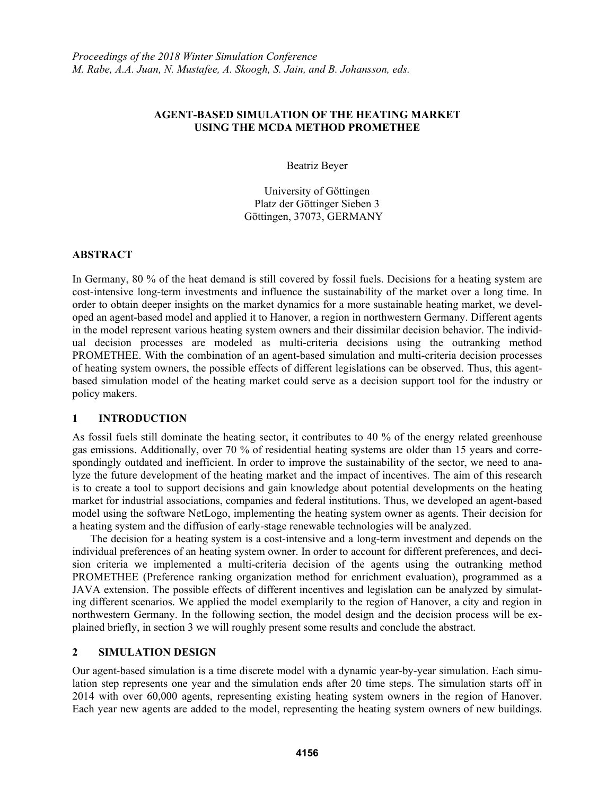# **AGENT-BASED SIMULATION OF THE HEATING MARKET USING THE MCDA METHOD PROMETHEE**

Beatriz Beyer

University of Göttingen Platz der Göttinger Sieben 3 Göttingen, 37073, GERMANY

## **ABSTRACT**

In Germany, 80 % of the heat demand is still covered by fossil fuels. Decisions for a heating system are cost-intensive long-term investments and influence the sustainability of the market over a long time. In order to obtain deeper insights on the market dynamics for a more sustainable heating market, we developed an agent-based model and applied it to Hanover, a region in northwestern Germany. Different agents in the model represent various heating system owners and their dissimilar decision behavior. The individual decision processes are modeled as multi-criteria decisions using the outranking method PROMETHEE. With the combination of an agent-based simulation and multi-criteria decision processes of heating system owners, the possible effects of different legislations can be observed. Thus, this agentbased simulation model of the heating market could serve as a decision support tool for the industry or policy makers.

# **1 INTRODUCTION**

As fossil fuels still dominate the heating sector, it contributes to 40 % of the energy related greenhouse gas emissions. Additionally, over 70 % of residential heating systems are older than 15 years and correspondingly outdated and inefficient. In order to improve the sustainability of the sector, we need to analyze the future development of the heating market and the impact of incentives. The aim of this research is to create a tool to support decisions and gain knowledge about potential developments on the heating market for industrial associations, companies and federal institutions. Thus, we developed an agent-based model using the software NetLogo, implementing the heating system owner as agents. Their decision for a heating system and the diffusion of early-stage renewable technologies will be analyzed.

The decision for a heating system is a cost-intensive and a long-term investment and depends on the individual preferences of an heating system owner. In order to account for different preferences, and decision criteria we implemented a multi-criteria decision of the agents using the outranking method PROMETHEE (Preference ranking organization method for enrichment evaluation), programmed as a JAVA extension. The possible effects of different incentives and legislation can be analyzed by simulating different scenarios. We applied the model exemplarily to the region of Hanover, a city and region in northwestern Germany. In the following section, the model design and the decision process will be explained briefly, in section 3 we will roughly present some results and conclude the abstract.

## **2 SIMULATION DESIGN**

Our agent-based simulation is a time discrete model with a dynamic year-by-year simulation. Each simulation step represents one year and the simulation ends after 20 time steps. The simulation starts off in 2014 with over 60,000 agents, representing existing heating system owners in the region of Hanover. Each year new agents are added to the model, representing the heating system owners of new buildings.